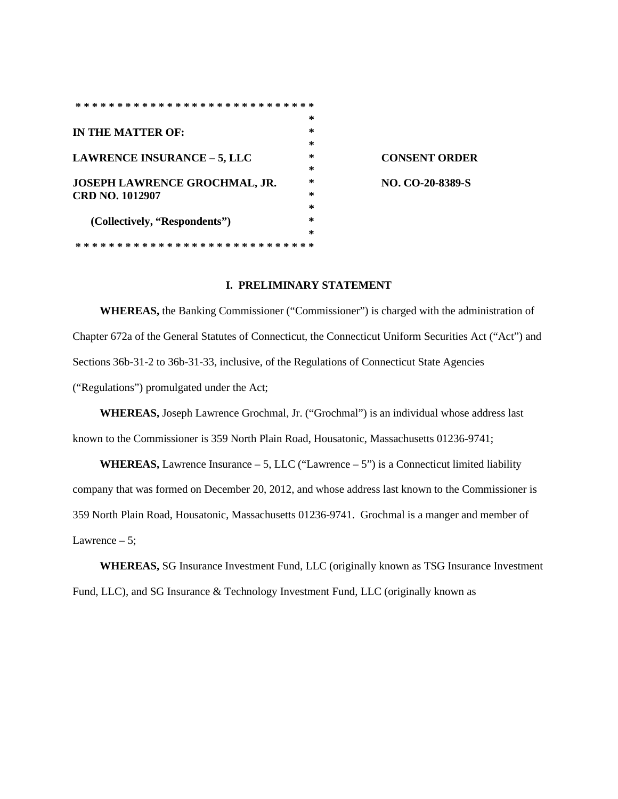|                                    | * |
|------------------------------------|---|
| IN THE MATTER OF:                  | ∗ |
|                                    | * |
| <b>LAWRENCE INSURANCE – 5, LLC</b> | * |
|                                    | * |
| JOSEPH LAWRENCE GROCHMAL, JR.      | ∗ |
| CRD NO. 1012907                    | ∗ |
|                                    | * |
| (Collectively, "Respondents")      | ∗ |
|                                    | ∗ |
| * * * *<br>* * * * *               |   |
|                                    |   |

**LAWRENCE INSURANCE – 5, LLC \* CONSENT ORDER JOSEPH LAWRENCE GROCHMAL, JR. \* NO. CO-20-8389-S**

### **I. PRELIMINARY STATEMENT**

**WHEREAS,** the Banking Commissioner ("Commissioner") is charged with the administration of Chapter 672a of the General Statutes of Connecticut, the Connecticut Uniform Securities Act ("Act") and Sections 36b-31-2 to 36b-31-33, inclusive, of the Regulations of Connecticut State Agencies ("Regulations") promulgated under the Act;

**WHEREAS,** Joseph Lawrence Grochmal, Jr. ("Grochmal") is an individual whose address last known to the Commissioner is 359 North Plain Road, Housatonic, Massachusetts 01236-9741;

**WHEREAS,** Lawrence Insurance  $-5$ , LLC ("Lawrence  $-5$ ") is a Connecticut limited liability company that was formed on December 20, 2012, and whose address last known to the Commissioner is 359 North Plain Road, Housatonic, Massachusetts 01236-9741. Grochmal is a manger and member of Lawrence  $-5$ ;

**WHEREAS,** SG Insurance Investment Fund, LLC (originally known as TSG Insurance Investment Fund, LLC), and SG Insurance & Technology Investment Fund, LLC (originally known as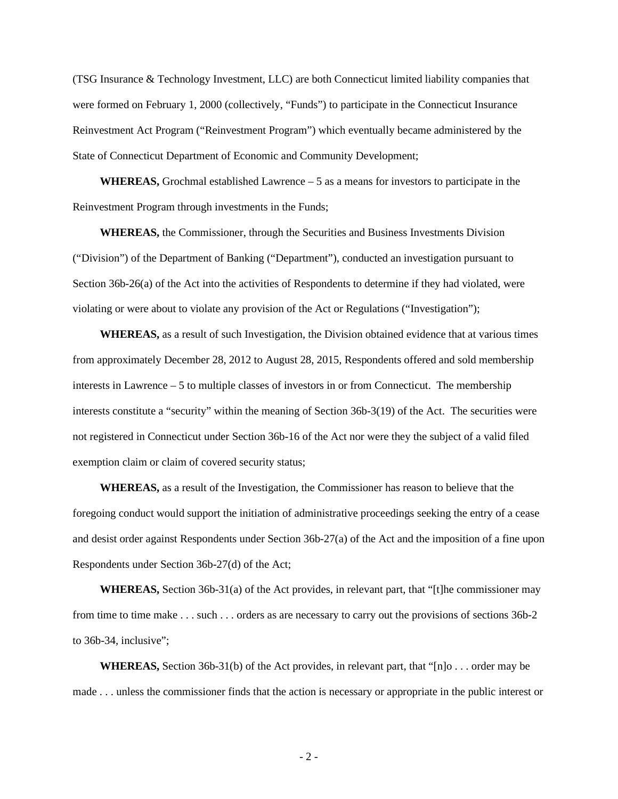(TSG Insurance & Technology Investment, LLC) are both Connecticut limited liability companies that were formed on February 1, 2000 (collectively, "Funds") to participate in the Connecticut Insurance Reinvestment Act Program ("Reinvestment Program") which eventually became administered by the State of Connecticut Department of Economic and Community Development;

**WHEREAS,** Grochmal established Lawrence – 5 as a means for investors to participate in the Reinvestment Program through investments in the Funds;

**WHEREAS,** the Commissioner, through the Securities and Business Investments Division ("Division") of the Department of Banking ("Department"), conducted an investigation pursuant to Section 36b-26(a) of the Act into the activities of Respondents to determine if they had violated, were violating or were about to violate any provision of the Act or Regulations ("Investigation");

**WHEREAS,** as a result of such Investigation, the Division obtained evidence that at various times from approximately December 28, 2012 to August 28, 2015, Respondents offered and sold membership interests in Lawrence – 5 to multiple classes of investors in or from Connecticut. The membership interests constitute a "security" within the meaning of Section 36b-3(19) of the Act. The securities were not registered in Connecticut under Section 36b-16 of the Act nor were they the subject of a valid filed exemption claim or claim of covered security status;

**WHEREAS,** as a result of the Investigation, the Commissioner has reason to believe that the foregoing conduct would support the initiation of administrative proceedings seeking the entry of a cease and desist order against Respondents under Section 36b-27(a) of the Act and the imposition of a fine upon Respondents under Section 36b-27(d) of the Act;

**WHEREAS,** Section 36b-31(a) of the Act provides, in relevant part, that "[t]he commissioner may from time to time make . . . such . . . orders as are necessary to carry out the provisions of sections 36b-2 to 36b-34, inclusive";

**WHEREAS,** Section 36b-31(b) of the Act provides, in relevant part, that "[n]o . . . order may be made . . . unless the commissioner finds that the action is necessary or appropriate in the public interest or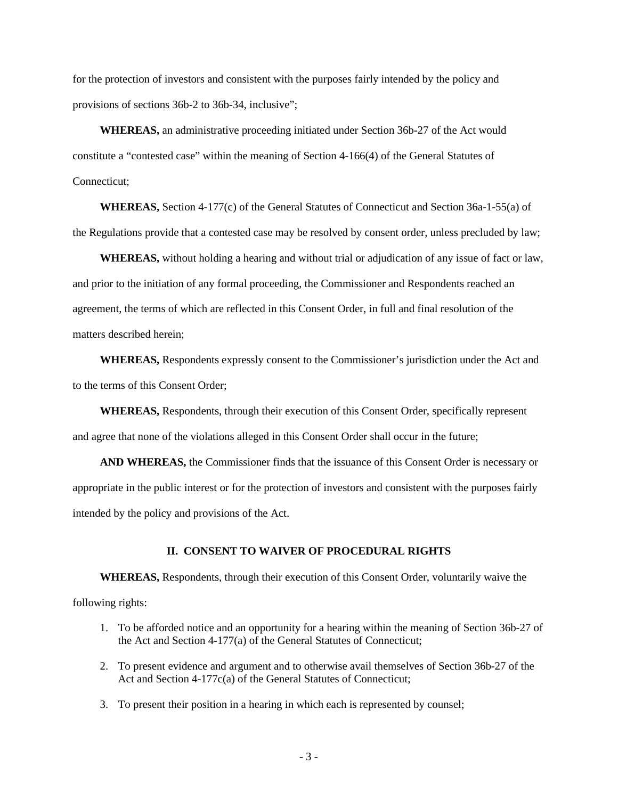for the protection of investors and consistent with the purposes fairly intended by the policy and provisions of sections 36b-2 to 36b-34, inclusive";

**WHEREAS,** an administrative proceeding initiated under Section 36b-27 of the Act would constitute a "contested case" within the meaning of Section 4-166(4) of the General Statutes of Connecticut;

**WHEREAS,** Section 4-177(c) of the General Statutes of Connecticut and Section 36a-1-55(a) of the Regulations provide that a contested case may be resolved by consent order, unless precluded by law;

**WHEREAS,** without holding a hearing and without trial or adjudication of any issue of fact or law, and prior to the initiation of any formal proceeding, the Commissioner and Respondents reached an agreement, the terms of which are reflected in this Consent Order, in full and final resolution of the matters described herein;

**WHEREAS,** Respondents expressly consent to the Commissioner's jurisdiction under the Act and to the terms of this Consent Order;

**WHEREAS,** Respondents, through their execution of this Consent Order, specifically represent and agree that none of the violations alleged in this Consent Order shall occur in the future;

**AND WHEREAS,** the Commissioner finds that the issuance of this Consent Order is necessary or appropriate in the public interest or for the protection of investors and consistent with the purposes fairly intended by the policy and provisions of the Act.

#### **II. CONSENT TO WAIVER OF PROCEDURAL RIGHTS**

**WHEREAS,** Respondents, through their execution of this Consent Order, voluntarily waive the following rights:

- 1. To be afforded notice and an opportunity for a hearing within the meaning of Section 36b-27 of the Act and Section 4-177(a) of the General Statutes of Connecticut;
- 2. To present evidence and argument and to otherwise avail themselves of Section 36b-27 of the Act and Section 4-177c(a) of the General Statutes of Connecticut;
- 3. To present their position in a hearing in which each is represented by counsel;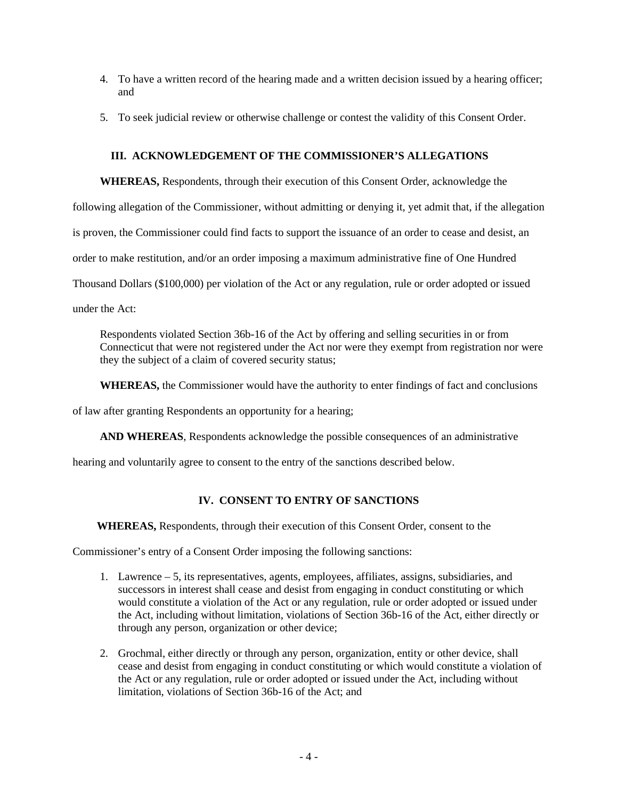- 4. To have a written record of the hearing made and a written decision issued by a hearing officer; and
- 5. To seek judicial review or otherwise challenge or contest the validity of this Consent Order.

### **III. ACKNOWLEDGEMENT OF THE COMMISSIONER'S ALLEGATIONS**

**WHEREAS,** Respondents, through their execution of this Consent Order, acknowledge the

following allegation of the Commissioner, without admitting or denying it, yet admit that, if the allegation

is proven, the Commissioner could find facts to support the issuance of an order to cease and desist, an

order to make restitution, and/or an order imposing a maximum administrative fine of One Hundred

Thousand Dollars (\$100,000) per violation of the Act or any regulation, rule or order adopted or issued

under the Act:

Respondents violated Section 36b-16 of the Act by offering and selling securities in or from Connecticut that were not registered under the Act nor were they exempt from registration nor were they the subject of a claim of covered security status;

**WHEREAS,** the Commissioner would have the authority to enter findings of fact and conclusions

of law after granting Respondents an opportunity for a hearing;

**AND WHEREAS**, Respondents acknowledge the possible consequences of an administrative

hearing and voluntarily agree to consent to the entry of the sanctions described below.

# **IV. CONSENT TO ENTRY OF SANCTIONS**

**WHEREAS,** Respondents, through their execution of this Consent Order, consent to the

Commissioner's entry of a Consent Order imposing the following sanctions:

- 1. Lawrence 5, its representatives, agents, employees, affiliates, assigns, subsidiaries, and successors in interest shall cease and desist from engaging in conduct constituting or which would constitute a violation of the Act or any regulation, rule or order adopted or issued under the Act, including without limitation, violations of Section 36b-16 of the Act, either directly or through any person, organization or other device;
- 2. Grochmal, either directly or through any person, organization, entity or other device, shall cease and desist from engaging in conduct constituting or which would constitute a violation of the Act or any regulation, rule or order adopted or issued under the Act, including without limitation, violations of Section 36b-16 of the Act; and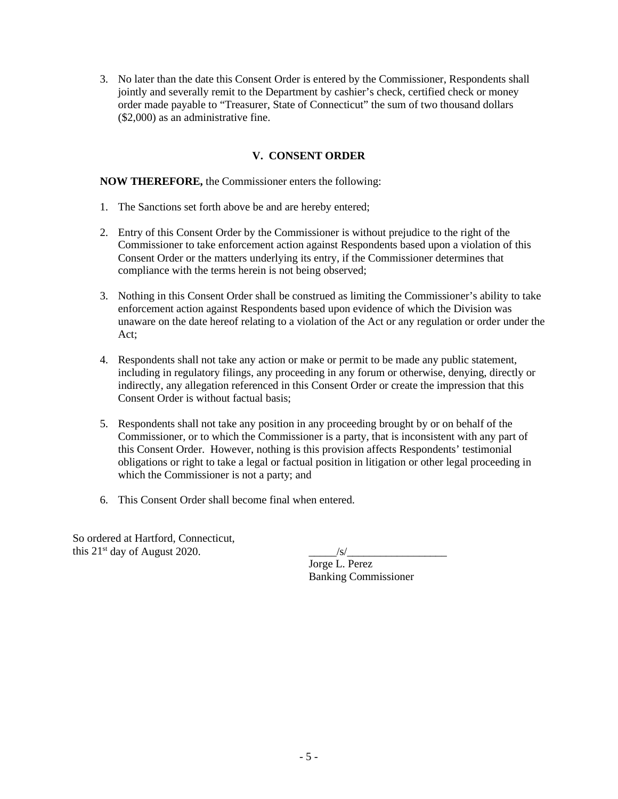3. No later than the date this Consent Order is entered by the Commissioner, Respondents shall jointly and severally remit to the Department by cashier's check, certified check or money order made payable to "Treasurer, State of Connecticut" the sum of two thousand dollars (\$2,000) as an administrative fine.

# **V. CONSENT ORDER**

### **NOW THEREFORE,** the Commissioner enters the following:

- 1. The Sanctions set forth above be and are hereby entered;
- 2. Entry of this Consent Order by the Commissioner is without prejudice to the right of the Commissioner to take enforcement action against Respondents based upon a violation of this Consent Order or the matters underlying its entry, if the Commissioner determines that compliance with the terms herein is not being observed;
- 3. Nothing in this Consent Order shall be construed as limiting the Commissioner's ability to take enforcement action against Respondents based upon evidence of which the Division was unaware on the date hereof relating to a violation of the Act or any regulation or order under the Act;
- 4. Respondents shall not take any action or make or permit to be made any public statement, including in regulatory filings, any proceeding in any forum or otherwise, denying, directly or indirectly, any allegation referenced in this Consent Order or create the impression that this Consent Order is without factual basis;
- 5. Respondents shall not take any position in any proceeding brought by or on behalf of the Commissioner, or to which the Commissioner is a party, that is inconsistent with any part of this Consent Order. However, nothing is this provision affects Respondents' testimonial obligations or right to take a legal or factual position in litigation or other legal proceeding in which the Commissioner is not a party; and
- 6. This Consent Order shall become final when entered.

So ordered at Hartford, Connecticut, this  $21^{st}$  day of August 2020.

| /s/                         |  |
|-----------------------------|--|
| Jorge L. Perez              |  |
| <b>Banking Commissioner</b> |  |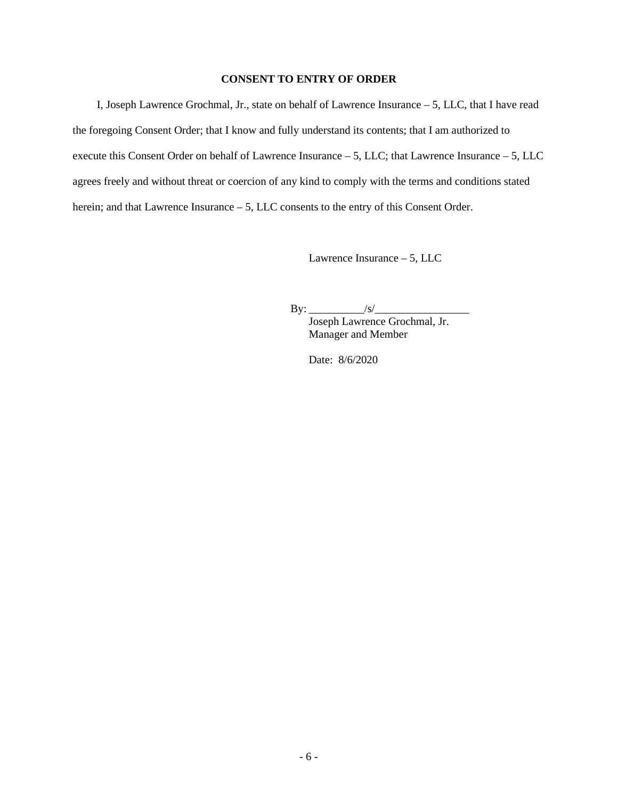### **CONSENT TO ENTRY OF ORDER**

I, Joseph Lawrence Grochmal, Jr., state on behalf of Lawrence Insurance – 5, LLC, that I have read the foregoing Consent Order; that I know and fully understand its contents; that I am authorized to execute this Consent Order on behalf of Lawrence Insurance – 5, LLC; that Lawrence Insurance – 5, LLC agrees freely and without threat or coercion of any kind to comply with the terms and conditions stated herein; and that Lawrence Insurance – 5, LLC consents to the entry of this Consent Order.

Lawrence Insurance – 5, LLC

 $\text{By:}\_\_\_\_\_\_\$ 

Joseph Lawrence Grochmal, Jr. Manager and Member

Date: 8/6/2020